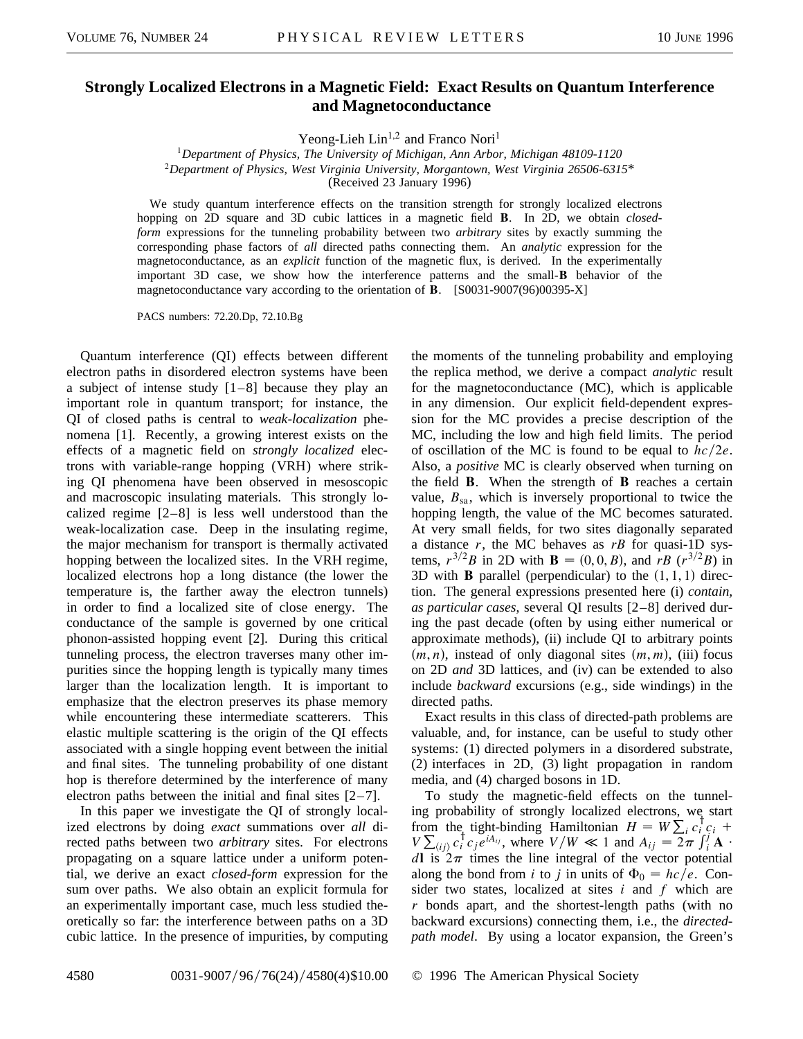## **Strongly Localized Electrons in a Magnetic Field: Exact Results on Quantum Interference and Magnetoconductance**

Yeong-Lieh  $Lin<sup>1,2</sup>$  and Franco Nori<sup>1</sup>

<sup>1</sup>*Department of Physics, The University of Michigan, Ann Arbor, Michigan 48109-1120* <sup>2</sup>*Department of Physics, West Virginia University, Morgantown, West Virginia 26506-6315*\* (Received 23 January 1996)

We study quantum interference effects on the transition strength for strongly localized electrons hopping on 2D square and 3D cubic lattices in a magnetic field **B**. In 2D, we obtain *closedform* expressions for the tunneling probability between two *arbitrary* sites by exactly summing the corresponding phase factors of *all* directed paths connecting them. An *analytic* expression for the magnetoconductance, as an *explicit* function of the magnetic flux, is derived. In the experimentally important 3D case, we show how the interference patterns and the small-**B** behavior of the magnetoconductance vary according to the orientation of **B**. [S0031-9007(96)00395-X]

PACS numbers: 72.20.Dp, 72.10.Bg

Quantum interference (QI) effects between different electron paths in disordered electron systems have been a subject of intense study [1–8] because they play an important role in quantum transport; for instance, the QI of closed paths is central to *weak-localization* phenomena [1]. Recently, a growing interest exists on the effects of a magnetic field on *strongly localized* electrons with variable-range hopping (VRH) where striking QI phenomena have been observed in mesoscopic and macroscopic insulating materials. This strongly localized regime  $[2-8]$  is less well understood than the weak-localization case. Deep in the insulating regime, the major mechanism for transport is thermally activated hopping between the localized sites. In the VRH regime, localized electrons hop a long distance (the lower the temperature is, the farther away the electron tunnels) in order to find a localized site of close energy. The conductance of the sample is governed by one critical phonon-assisted hopping event [2]. During this critical tunneling process, the electron traverses many other impurities since the hopping length is typically many times larger than the localization length. It is important to emphasize that the electron preserves its phase memory while encountering these intermediate scatterers. This elastic multiple scattering is the origin of the QI effects associated with a single hopping event between the initial and final sites. The tunneling probability of one distant hop is therefore determined by the interference of many electron paths between the initial and final sites  $[2-7]$ .

In this paper we investigate the QI of strongly localized electrons by doing *exact* summations over *all* directed paths between two *arbitrary* sites. For electrons propagating on a square lattice under a uniform potential, we derive an exact *closed-form* expression for the sum over paths. We also obtain an explicit formula for an experimentally important case, much less studied theoretically so far: the interference between paths on a 3D cubic lattice. In the presence of impurities, by computing the moments of the tunneling probability and employing the replica method, we derive a compact *analytic* result for the magnetoconductance (MC), which is applicable in any dimension. Our explicit field-dependent expression for the MC provides a precise description of the MC, including the low and high field limits. The period of oscillation of the MC is found to be equal to  $hc/2e$ . Also, a *positive* MC is clearly observed when turning on the field **B**. When the strength of **B** reaches a certain value,  $B_{sa}$ , which is inversely proportional to twice the hopping length, the value of the MC becomes saturated. At very small fields, for two sites diagonally separated a distance  $r$ , the MC behaves as  $rB$  for quasi-1D systems,  $r^{3/2}B$  in 2D with **B** = (0, 0, *B*), and *rB* ( $r^{3/2}B$ ) in 3D with **B** parallel (perpendicular) to the  $(1, 1, 1)$  direction. The general expressions presented here (i) *contain, as particular cases*, several QI results [2–8] derived during the past decade (often by using either numerical or approximate methods), (ii) include QI to arbitrary points  $(m, n)$ , instead of only diagonal sites  $(m, m)$ , (iii) focus on 2D *and* 3D lattices, and (iv) can be extended to also include *backward* excursions (e.g., side windings) in the directed paths.

Exact results in this class of directed-path problems are valuable, and, for instance, can be useful to study other systems: (1) directed polymers in a disordered substrate, (2) interfaces in 2D, (3) light propagation in random media, and (4) charged bosons in 1D.

To study the magnetic-field effects on the tunneling probability of strongly localized electrons, we start from the tight-binding Hamiltonian  $H = W \sum_i c_i^{\dagger} c_i + V \sum_{\langle ij \rangle} c_i^{\dagger} c_j e^{iA_{ij}}$ , where  $V/W \ll 1$  and  $A_{ij} = 2\pi \int_{i}^{j} \mathbf{A} \cdot$ *d***l** is  $2\pi$  times the line integral of the vector potential along the bond from *i* to *j* in units of  $\Phi_0 = hc/e$ . Consider two states, localized at sites *i* and *f* which are *r* bonds apart, and the shortest-length paths (with no backward excursions) connecting them, i.e., the *directedpath model*. By using a locator expansion, the Green's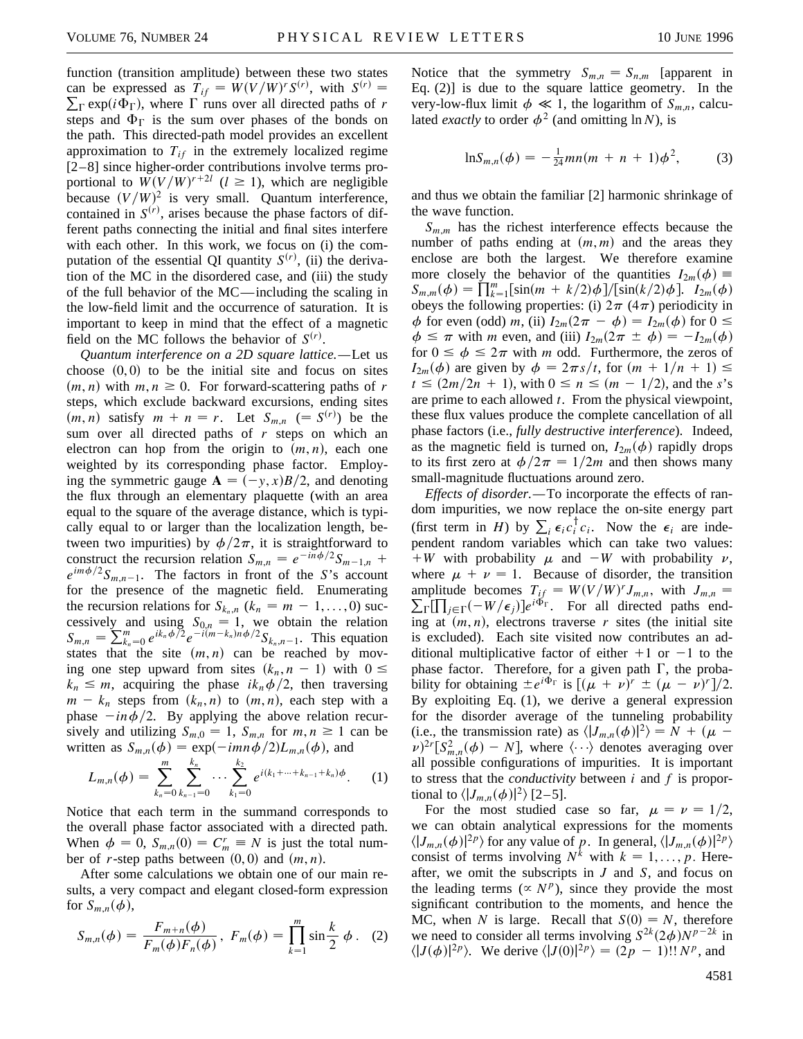function (transition amplitude) between these two states can be expressed as  $T_{if} = W(V/W)^r S^{(r)}$ , with  $S^{(r)} =$  $\sum_{\Gamma} \exp(i\Phi_{\Gamma})$ , where  $\Gamma$  runs over all directed paths of *r* steps and  $\Phi_{\Gamma}$  is the sum over phases of the bonds on the path. This directed-path model provides an excellent approximation to  $T_{if}$  in the extremely localized regime [2–8] since higher-order contributions involve terms proportional to  $W(V/W)^{r+2l}$  ( $l \ge 1$ ), which are negligible because  $(V/W)^2$  is very small. Quantum interference, contained in  $S^{(r)}$ , arises because the phase factors of different paths connecting the initial and final sites interfere with each other. In this work, we focus on (i) the computation of the essential QI quantity  $S^{(r)}$ , (ii) the derivation of the MC in the disordered case, and (iii) the study of the full behavior of the MC—including the scaling in the low-field limit and the occurrence of saturation. It is important to keep in mind that the effect of a magnetic field on the MC follows the behavior of  $S^{(r)}$ .

*Quantum interference on a 2D square lattice.—*Let us choose  $(0, 0)$  to be the initial site and focus on sites  $(m, n)$  with  $m, n \geq 0$ . For forward-scattering paths of *r* steps, which exclude backward excursions, ending sites  $(m, n)$  satisfy  $m + n = r$ . Let  $S_{m,n}$   $( = S^{(r)})$  be the sum over all directed paths of *r* steps on which an electron can hop from the origin to  $(m, n)$ , each one weighted by its corresponding phase factor. Employing the symmetric gauge  $\mathbf{A} = (-y, x)B/2$ , and denoting the flux through an elementary plaquette (with an area equal to the square of the average distance, which is typically equal to or larger than the localization length, between two impurities) by  $\phi/2\pi$ , it is straightforward to construct the recursion relation  $S_{m,n} = e^{-i\bar{n}\phi/2}S_{m-1,n}$  +  $e^{im\phi/2}S_{m,n-1}$ . The factors in front of the *S*'s account for the presence of the magnetic field. Enumerating the recursion relations for  $S_{k_n,n}$  ( $k_n = m - 1, \ldots, 0$ ) successively and using  $S_{0,n} = 1$ , we obtain the relation  $S_{m,n} = \sum_{k_n=0}^{m} e^{ik_n \phi/2} e^{-i(m-k_n)n\phi/2} S_{k_n,n-1}$ . This equation states that the site  $(m, n)$  can be reached by moving one step upward from sites  $(k_n, n - 1)$  with  $0 \leq$  $k_n \leq m$ , acquiring the phase  $ik_n \phi/2$ , then traversing  $m - k_n$  steps from  $(k_n, n)$  to  $(m, n)$ , each step with a phase  $-in\phi/2$ . By applying the above relation recursively and utilizing  $S_{m,0} = 1$ ,  $S_{m,n}$  for  $m, n \ge 1$  can be written as  $S_{m,n}(\phi) = \exp(-imn\phi/2)L_{m,n}(\phi)$ , and

$$
L_{m,n}(\phi) = \sum_{k_n=0}^{m} \sum_{k_{n-1}=0}^{k_n} \cdots \sum_{k_1=0}^{k_2} e^{i(k_1 + \cdots + k_{n-1} + k_n)\phi}.
$$
 (1)

Notice that each term in the summand corresponds to the overall phase factor associated with a directed path. When  $\phi = 0$ ,  $S_{m,n}(0) = C_m^r \equiv N$  is just the total number of *r*-step paths between  $(0, 0)$  and  $(m, n)$ .

After some calculations we obtain one of our main results, a very compact and elegant closed-form expression for  $S_{m,n}(\phi)$ ,

$$
S_{m,n}(\phi) = \frac{F_{m+n}(\phi)}{F_m(\phi)F_n(\phi)}, \ F_m(\phi) = \prod_{k=1}^m \sin \frac{k}{2} \phi. \tag{2}
$$

Notice that the symmetry  $S_{m,n} = S_{n,m}$  [apparent in Eq. (2)] is due to the square lattice geometry. In the very-low-flux limit  $\phi \ll 1$ , the logarithm of  $S_{m,n}$ , calculated *exactly* to order  $\phi^2$  (and omitting ln *N*), is

$$
\ln S_{m,n}(\phi) = -\frac{1}{24}mn(m+n+1)\phi^2, \qquad (3)
$$

and thus we obtain the familiar [2] harmonic shrinkage of the wave function.

 $S_{m,m}$  has the richest interference effects because the number of paths ending at  $(m, m)$  and the areas they enclose are both the largest. We therefore examine more closely the behavior of the quantities  $I_{2m}(\phi)$  = *S<sub>m,m</sub>*( $\phi$ ) =  $\prod_{k=1}^{m} [\sin(m + k/2)\phi]/[\sin(k/2)\phi]$ . *I*<sub>2*m*</sub>( $\phi$ ) obeys the following properties: (i)  $2\pi$  (4 $\pi$ ) periodicity in  $\phi$  for even (odd) *m*, (ii)  $I_{2m}(2\pi - \phi) = I_{2m}(\phi)$  for  $0 \leq$  $\phi \leq \pi$  with *m* even, and (iii)  $I_{2m}(2\pi \pm \phi) = -I_{2m}(\phi)$ for  $0 \le \phi \le 2\pi$  with *m* odd. Furthermore, the zeros of  $I_{2m}(\phi)$  are given by  $\phi = 2\pi s/t$ , for  $(m + 1/n + 1) \le$  $t \leq (2m/2n + 1)$ , with  $0 \leq n \leq (m - 1/2)$ , and the *s*'s are prime to each allowed *t*. From the physical viewpoint, these flux values produce the complete cancellation of all phase factors (i.e., *fully destructive interference*). Indeed, as the magnetic field is turned on,  $I_{2m}(\phi)$  rapidly drops to its first zero at  $\phi/2\pi = 1/2m$  and then shows many small-magnitude fluctuations around zero.

*Effects of disorder.—*To incorporate the effects of random impurities, we now replace the on-site energy part (first term in *H*) by  $\sum_i \epsilon_i c_i^{\dagger} c_i$ . Now the  $\epsilon_i$  are independent random variables which can take two values:  $+W$  with probability  $\mu$  and  $-W$  with probability  $\nu$ , where  $\mu + \nu = 1$ . Because of disorder, the transition amplitude becomes  $T_{if} = W(V/W)^r J_{m,n}$ , with  $J_{m,n} =$  $\sum_{\Gamma}[\prod_{j\in\Gamma}(-W/\epsilon_j)]e^{i\Phi_{\Gamma}}$ . For all directed paths ending at  $(m, n)$ , electrons traverse *r* sites (the initial site is excluded). Each site visited now contributes an additional multiplicative factor of either  $+1$  or  $-1$  to the phase factor. Therefore, for a given path  $\Gamma$ , the probability for obtaining  $\pm e^{i\Phi_{\Gamma}}$  is  $[(\mu + \nu)^{r} \pm (\mu - \nu)^{r}]/2$ . By exploiting Eq. (1), we derive a general expression for the disorder average of the tunneling probability (i.e., the transmission rate) as  $\langle |J_{m,n}(\phi)|^2 \rangle = N + (\mu \nu^{2r} [S_{m,n}^2(\phi) - N]$ , where  $\langle \cdots \rangle$  denotes averaging over all possible configurations of impurities. It is important to stress that the *conductivity* between *i* and *f* is proportional to  $\langle |J_{m,n}(\phi)|^2 \rangle$  [2–5].

For the most studied case so far,  $\mu = \nu = 1/2$ , we can obtain analytical expressions for the moments  $\langle |J_{m,n}(\phi)|^{2p} \rangle$  for any value of *p*. In general,  $\langle |J_{m,n}(\phi)|^{2p} \rangle$ consist of terms involving  $N^k$  with  $k = 1, \ldots, p$ . Hereafter, we omit the subscripts in *J* and *S*, and focus on the leading terms ( $\propto N^p$ ), since they provide the most significant contribution to the moments, and hence the MC, when *N* is large. Recall that  $S(0) = N$ , therefore we need to consider all terms involving  $S^{2k}(2\phi)N^{p-2k}$  in  $\langle |J(\phi)|^{2p}\rangle$ . We derive  $\langle |J(0)|^{2p}\rangle = (2p - 1)!! N^p$ , and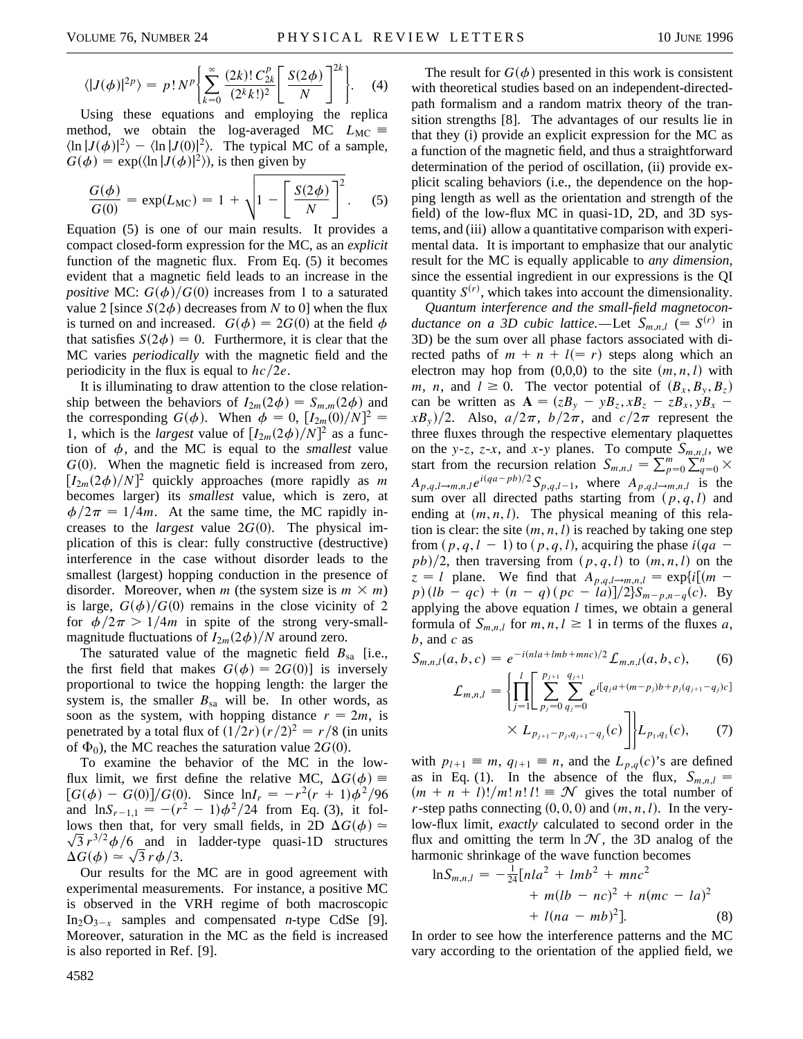$$
\langle |J(\phi)|^{2p} \rangle = p! N^p \left\{ \sum_{k=0}^{\infty} \frac{(2k)! \, C_{2k}^p}{(2^k k!)^2} \left[ \frac{S(2\phi)}{N} \right]^{2k} \right\}.
$$
 (4)

Using these equations and employing the replica method, we obtain the log-averaged MC  $L_{MC} \equiv$  $\langle \ln |J(\phi)|^2 \rangle - \langle \ln |J(0)|^2 \rangle$ . The typical MC of a sample,  $G(\phi) = \exp(\langle \ln |J(\phi)|^2 \rangle)$ , is then given by

$$
\frac{G(\phi)}{G(0)} = \exp(L_{\text{MC}}) = 1 + \sqrt{1 - \left[\frac{S(2\phi)}{N}\right]^2}.
$$
 (5)

Equation (5) is one of our main results. It provides a compact closed-form expression for the MC, as an *explicit* function of the magnetic flux. From Eq. (5) it becomes evident that a magnetic field leads to an increase in the *positive* MC:  $G(\phi)/G(0)$  increases from 1 to a saturated value 2 [since  $S(2\phi)$  decreases from *N* to 0] when the flux is turned on and increased.  $G(\phi) = 2G(0)$  at the field  $\phi$ that satisfies  $S(2\phi) = 0$ . Furthermore, it is clear that the MC varies *periodically* with the magnetic field and the periodicity in the flux is equal to  $hc/2e$ .

It is illuminating to draw attention to the close relationship between the behaviors of  $I_{2m}(2\phi) = S_{m,m}(2\phi)$  and the corresponding  $G(\phi)$ . When  $\phi = 0$ ,  $[I_{2m}(0)/N]^2$  = 1, which is the *largest* value of  $[I_{2m}(2\phi)/N]^2$  as a function of  $\phi$ , and the MC is equal to the *smallest* value  $G(0)$ . When the magnetic field is increased from zero,  $[I_{2m}(2\phi)/N]^2$  quickly approaches (more rapidly as *m* becomes larger) its *smallest* value, which is zero, at  $\phi/2\pi = 1/4m$ . At the same time, the MC rapidly increases to the *largest* value  $2G(0)$ . The physical implication of this is clear: fully constructive (destructive) interference in the case without disorder leads to the smallest (largest) hopping conduction in the presence of disorder. Moreover, when *m* (the system size is  $m \times m$ ) is large,  $G(\phi)/G(0)$  remains in the close vicinity of 2 for  $\phi/2\pi > 1/4m$  in spite of the strong very-smallmagnitude fluctuations of  $I_{2m}(2\phi)/N$  around zero.

The saturated value of the magnetic field  $B_{sa}$  [i.e., the first field that makes  $G(\phi) = 2G(0)$  is inversely proportional to twice the hopping length: the larger the system is, the smaller  $B_{sa}$  will be. In other words, as soon as the system, with hopping distance  $r = 2m$ , is penetrated by a total flux of  $\left(\frac{1}{2r}\right)(\frac{r}{2})^2 = \frac{r}{8}$  (in units of  $\Phi_0$ ), the MC reaches the saturation value 2*G*(0).

To examine the behavior of the MC in the lowflux limit, we first define the relative MC,  $\Delta G(\phi)$  =  $\int [G(\phi) - G(0)]/G(0)$ . Since  $\ln I_r = -r^2(r + 1)\phi^2/96$ and  $\ln S_{r-1,1} = -(r^2 - 1)\phi^2/24$  from Eq. (3), it follows then that, for very small fields, in 2D  $\Delta G(\phi) \simeq$  $\sqrt{3} r^{3/2} \phi/6$  and in ladder-type quasi-1D structures  $\sqrt{3} r^{3/2} \phi/6$  and if  $\Delta G(\phi) \simeq \sqrt{3} r \phi/3$ .

Our results for the MC are in good agreement with experimental measurements. For instance, a positive MC is observed in the VRH regime of both macroscopic  $In_2O_{3-x}$  samples and compensated *n*-type CdSe [9]. Moreover, saturation in the MC as the field is increased is also reported in Ref. [9].

The result for  $G(\phi)$  presented in this work is consistent with theoretical studies based on an independent-directedpath formalism and a random matrix theory of the transition strengths [8]. The advantages of our results lie in that they (i) provide an explicit expression for the MC as a function of the magnetic field, and thus a straightforward determination of the period of oscillation, (ii) provide explicit scaling behaviors (i.e., the dependence on the hopping length as well as the orientation and strength of the field) of the low-flux MC in quasi-1D, 2D, and 3D systems, and (iii) allow a quantitative comparison with experimental data. It is important to emphasize that our analytic result for the MC is equally applicable to *any dimension,* since the essential ingredient in our expressions is the QI quantity  $S^{(r)}$ , which takes into account the dimensionality.

*Quantum interference and the small-field magnetoconductance on a 3D cubic lattice.*—Let  $S_{m,n,l}$  (=  $S^{(r)}$  in 3D) be the sum over all phase factors associated with directed paths of  $m + n + l = r$  steps along which an electron may hop from  $(0,0,0)$  to the site  $(m, n, l)$  with *m*, *n*, and  $l \geq 0$ . The vector potential of  $(B_x, B_y, B_z)$ can be written as  $\mathbf{A} = (zB_y - yB_z, xB_z - zB_x, yB_x - zB_z)$  $(xB_y)/2$ . Also,  $a/2\pi$ ,  $b/2\pi$ , and  $c/2\pi$  represent the three fluxes through the respective elementary plaquettes on the *y*-*z*, *z*-*x*, and *x*-*y* planes. To compute  $S_{m,n,l}$ , we start from the recursion relation  $S_{m,n,l} = \sum_{p=0}^{m} \sum_{q=0}^{m} \times$  $A_{p,q,l\rightarrow m,n,l}e^{i(qa-pb)/2}S_{p,q,l-1}$ , where  $A_{p,q,l\rightarrow m,n,l}$  is the sum over all directed paths starting from  $(p, q, l)$  and ending at  $(m, n, l)$ . The physical meaning of this relation is clear: the site  $(m, n, l)$  is reached by taking one step from  $(p, q, l - 1)$  to  $(p, q, l)$ , acquiring the phase  $i(qa - 1)$  $pb)/2$ , then traversing from  $(p, q, l)$  to  $(m, n, l)$  on the  $z = l$  plane. We find that  $A_{p,q,l\rightarrow m,n,l} = \exp\{i[(m - l)$  $p$ )  $(lb - qc) + (n - q)(pc - la)]/2}S_{m-p,n-q}(c)$ . By applying the above equation *l* times, we obtain a general formula of  $S_{m,n,l}$  for  $m, n, l \ge 1$  in terms of the fluxes a, *b*, and *c* as

$$
S_{m,n,l}(a,b,c) = e^{-i(nla + Imb + mnc)/2} \mathcal{L}_{m,n,l}(a,b,c), \qquad (6)
$$

$$
\mathcal{L}_{m,n,l} = \left\{ \prod_{j=1}^{l} \left[ \sum_{p_j=0}^{p_{j+1}} \sum_{q_j=0}^{q_{j+1}} e^{i[q_j a + (m-p_j)b + p_j(q_{j+1}-q_j)c]} \right] \times L_{p_{j+1}-p_j,q_{j+1}-q_j}(c) \right] \mid L_{p_1,q_1}(c), \quad (7)
$$

with  $p_{l+1} \equiv m$ ,  $q_{l+1} \equiv n$ , and the  $L_{p,q}(c)$ 's are defined as in Eq. (1). In the absence of the flux,  $S_{m,n,l}$  =  $(m + n + l)!/m! n! l! \equiv \mathcal{N}$  gives the total number of *r*-step paths connecting  $(0, 0, 0)$  and  $(m, n, l)$ . In the verylow-flux limit, *exactly* calculated to second order in the flux and omitting the term  $\ln \mathcal{N}$ , the 3D analog of the harmonic shrinkage of the wave function becomes

$$
\ln S_{m,n,l} = -\frac{1}{24} [nla^2 + Imb^2 + mnc^2
$$
  
+  $m(lb - nc)^2 + n(mc - la)^2$   
+  $l(na - mb)^2$ ]. (8)

In order to see how the interference patterns and the MC vary according to the orientation of the applied field, we